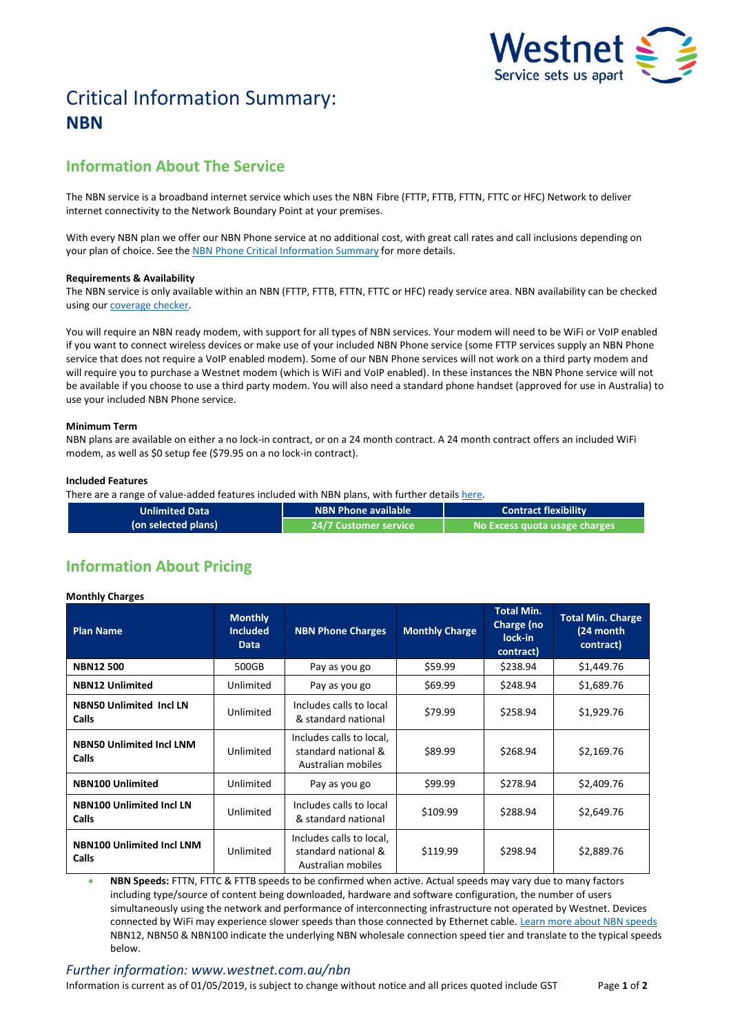

# Critical Information Summary: **NBN**

# **Information About The Service**

The NBN service is a broadband internet service which uses the NBNFibre (FTTP, FTTB, FTTN, FTTC or HFC) Network to deliver internet connectivity to the Network Boundary Point at your premises.

With every NBN plan we offer our NBN Phone service at no additional cost, with great call rates and call inclusions depending on your plan of choice. See the [NBN Phone Critical Information Summary](http://www.westnet.com.au/about/legal/cis/cis-nbn-phone.pdf) for more details.

# **Requirements & Availability**

The NBN service is only available within an NBN (FTTP, FTTB, FTTN, FTTC or HFC) ready service area. NBN availability can be checked using our [coverage checker.](http://www.westnet.com.au/internet/broadband/nbn/coverage/)

You will require an NBN ready modem, with support for all types of NBN services. Your modem will need to be WiFi or VoIP enabled if you want to connect wireless devices or make use of your included NBN Phone service (some FTTP services supply an NBN Phone service that does not require a VoIP enabled modem). Some of our NBN Phone services will not work on a third party modem and will require you to purchase a Westnet modem (which is WiFi and VoIP enabled). In these instances the NBN Phone service will not be available if you choose to use a third party modem. You will also need a standard phone handset (approved for use in Australia) to use your included NBN Phone service.

#### **Minimum Term**

NBN plans are available on either a no lock-in contract, or on a 24 month contract. A 24 month contract offers an included WiFi modem, as well as \$0 setup fee (\$79.95 on a no lock-in contract).

#### **Included Features**

There are a range of value-added features included with NBN plans, with further details [here.](http://www.westnet.com.au/nbn)

| <b>Unlimited Data</b> | NBN Phone available       | <b>Contract flexibility</b>   |  |
|-----------------------|---------------------------|-------------------------------|--|
| (on selected plans)   | ا 24/7 Customer service ا | No Excess quota usage charges |  |

# **Information About Pricing**

# **Monthly Charges**

| <b>Plan Name</b>                                | <b>Monthly</b><br><b>Included</b><br><b>Data</b> | <b>NBN Phone Charges</b>                                              | <b>Monthly Charge</b> | <b>Total Min.</b><br>Charge (no<br>lock-in<br>contract) | <b>Total Min. Charge</b><br>(24 month<br>contract) |
|-------------------------------------------------|--------------------------------------------------|-----------------------------------------------------------------------|-----------------------|---------------------------------------------------------|----------------------------------------------------|
| <b>NBN12500</b>                                 | 500GB                                            | Pay as you go                                                         | \$59.99               | \$238.94                                                | \$1,449.76                                         |
| <b>NBN12 Unlimited</b>                          | Unlimited                                        | Pay as you go                                                         | \$69.99               | \$248.94                                                | \$1,689.76                                         |
| <b>NBN50 Unlimited Incl LN</b><br><b>Calls</b>  | Unlimited                                        | Includes calls to local<br>& standard national                        | \$79.99               | \$258.94                                                | \$1,929.76                                         |
| <b>NBN50 Unlimited Incl LNM</b><br><b>Calls</b> | Unlimited                                        | Includes calls to local,<br>standard national &<br>Australian mobiles | \$89.99               | \$268.94                                                | \$2,169.76                                         |
| <b>NBN100 Unlimited</b>                         | Unlimited                                        | Pay as you go                                                         | \$99.99               | \$278.94                                                | \$2,409.76                                         |
| <b>NBN100 Unlimited Incl LN</b><br><b>Calls</b> | Unlimited                                        | Includes calls to local<br>& standard national                        | \$109.99              | \$288.94                                                | \$2,649.76                                         |
| <b>NBN100 Unlimited Incl LNM</b><br>Calls       | Unlimited                                        | Includes calls to local,<br>standard national &<br>Australian mobiles | \$119.99              | \$298.94                                                | \$2,889.76                                         |

 **NBN Speeds:** FTTN, FTTC & FTTB speeds to be confirmed when active. Actual speeds may vary due to many factors including type/source of content being downloaded, hardware and software configuration, the number of users simultaneously using the network and performance of interconnecting infrastructure not operated by Westnet. Devices connected by WiFi may experience slower speeds than those connected by Ethernet cable. [Learn more about NBN speeds](http://myhelp.westnet.com.au/node/1699) NBN12, NBN50 & NBN100 indicate the underlying NBN wholesale connection speed tier and translate to the typical speeds below.

# *Further information: www.westnet.com.au/nbn*

Information is current as of 01/05/2019, is subject to change without notice and all prices quoted include GST Page **1** of **2**